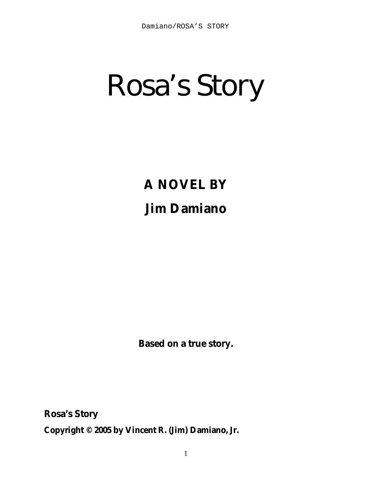## Rosa's Story

## **A NOVEL BY Jim Damiano**

**Based on a true story.**

**Rosa's Story**

**Copyright © 2005 by Vincent R. (Jim) Damiano, Jr.**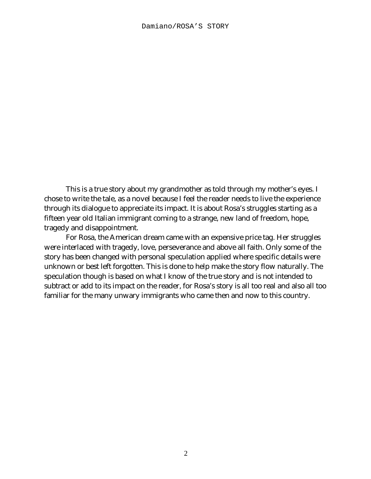This is a true story about my grandmother as told through my mother's eyes. I chose to write the tale, as a novel because I feel the reader needs to live the experience through its dialogue to appreciate its impact. It is about Rosa's struggles starting as a fifteen year old Italian immigrant coming to a strange, new land of freedom, hope, tragedy and disappointment.

For Rosa, the American dream came with an expensive price tag. Her struggles were interlaced with tragedy, love, perseverance and above all faith. Only some of the story has been changed with personal speculation applied where specific details were unknown or best left forgotten. This is done to help make the story flow naturally. The speculation though is based on what I know of the true story and is not intended to subtract or add to its impact on the reader, for Rosa's story is all too real and also all too familiar for the many unwary immigrants who came then and now to this country.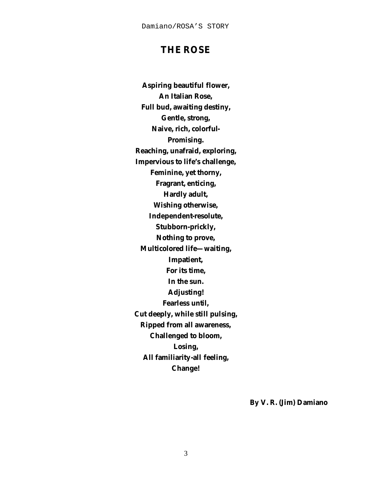## **THE ROSE**

**Aspiring beautiful flower, An Italian Rose, Full bud, awaiting destiny, Gentle, strong, Naive, rich, colorful-Promising. Reaching, unafraid, exploring, Impervious to life's challenge, Feminine, yet thorny, Fragrant, enticing, Hardly adult, Wishing otherwise, Independent-resolute, Stubborn-prickly, Nothing to prove, Multicolored life—waiting, Impatient, For its time, In the sun. Adjusting! Fearless until, Cut deeply, while still pulsing, Ripped from all awareness, Challenged to bloom, Losing, All familiarity-all feeling, Change!**

**By V. R. (Jim) Damiano**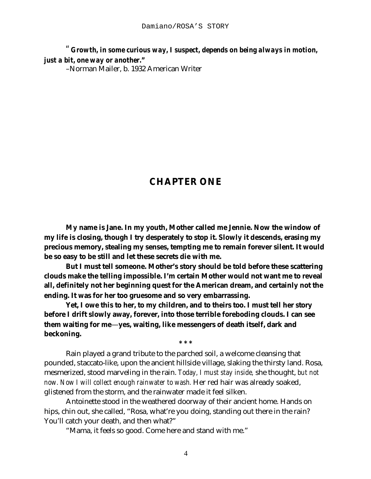*"Growth, in some curious way, I suspect, depends on being always in motion, just a bit, one way or another."*

–Norman Mailer, b. 1932 American Writer

## **CHAPTER ONE**

**My name is Jane. In my youth, Mother called me Jennie. Now the window of my life is closing, though I try desperately to stop it. Slowly it descends, erasing my precious memory, stealing my senses, tempting me to remain forever silent. It would be so easy to be still and let these secrets die with me.**

**But I must tell someone. Mother's story should be told before these scattering clouds make the telling impossible. I'm certain Mother would not want me to reveal all, definitely not her beginning quest for the American dream, and certainly not the ending. It was for her too gruesome and so very embarrassing.**

**Yet, I owe this to her, to my children, and to theirs too. I must tell her story before I drift slowly away, forever, into those terrible foreboding clouds. I can see them waiting for me**—**yes, waiting, like messengers of death itself, dark and beckoning.**

Rain played a grand tribute to the parched soil, a welcome cleansing that pounded, staccato-like, upon the ancient hillside village, slaking the thirsty land. Rosa, mesmerized, stood marveling in the rain. *Today, I must stay inside,* she thought, *but not now. Now I will collect enough rainwater to wash.* Her red hair was already soaked, glistened from the storm, and the rainwater made it feel silken.

**\* \* \***

Antoinette stood in the weathered doorway of their ancient home. Hands on hips, chin out, she called, "Rosa, what're you doing, standing out there in the rain? You'll catch your death, and then what?"

"Mama, it feels so good. Come here and stand with me."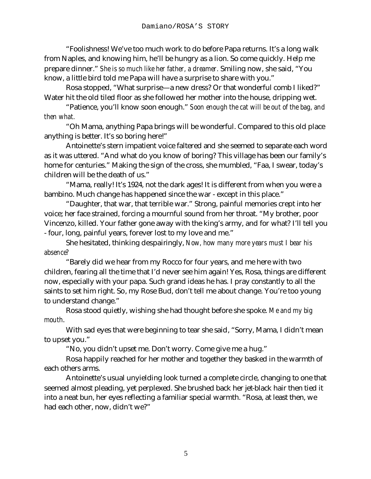"Foolishness! We've too much work to do before Papa returns. It's a long walk from Naples, and knowing him, he'll be hungry as a lion. So come quickly. Help me prepare dinner." *She is so much like her father, a dreamer.* Smiling now, she said, "You know, a little bird told me Papa will have a surprise to share with you."

Rosa stopped, "What surprise—a new dress? Or that wonderful comb I liked?" Water hit the old tiled floor as she followed her mother into the house, dripping wet.

"Patience, you'll know soon enough." *Soon enough the cat will be out of the bag, and then what.*

"Oh Mama, anything Papa brings will be wonderful. Compared to this old place anything is better. It's so boring here!"

Antoinette's stern impatient voice faltered and she seemed to separate each word as it was uttered. "And what do you know of boring? This village has been our family's home for centuries." Making the sign of the cross, she mumbled, "Faa, I swear, today's children will be the death of us."

"Mama, really! It's 1924, not the dark ages! It is different from when you were a bambino. Much change has happened since the war - except in this place."

"Daughter, that war, that terrible war." Strong, painful memories crept into her voice; her face strained, forcing a mournful sound from her throat. "My brother, poor Vincenzo, killed. Your father gone away with the king's army, and for what? I'll tell you - four, long, painful years, forever lost to my love and me."

She hesitated, thinking despairingly, *Now, how many more years must I bear his absence?*

"Barely did we hear from my Rocco for four years, and me here with two children, fearing all the time that I'd never see him again! Yes, Rosa, things are different now, especially with your papa. Such grand ideas he has. I pray constantly to all the saints to set him right. So, my Rose Bud, don't tell me about change. You're too young to understand change."

Rosa stood quietly, wishing she had thought before she spoke. *Me and my big mouth*.

With sad eyes that were beginning to tear she said, "Sorry, Mama, I didn't mean to upset you."

"No, you didn't upset me. Don't worry. Come give me a hug."

Rosa happily reached for her mother and together they basked in the warmth of each others arms.

Antoinette's usual unyielding look turned a complete circle, changing to one that seemed almost pleading, yet perplexed. She brushed back her jet-black hair then tied it into a neat bun, her eyes reflecting a familiar special warmth. "Rosa, at least then, we had each other, now, didn't we?"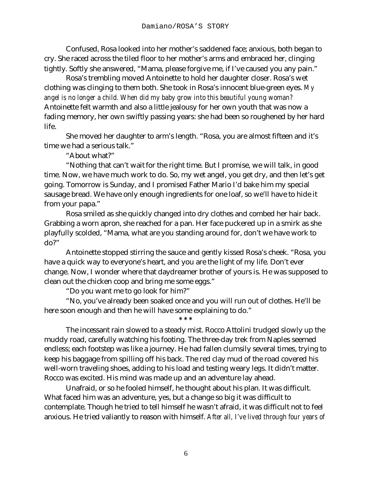Confused, Rosa looked into her mother's saddened face; anxious, both began to cry. She raced across the tiled floor to her mother's arms and embraced her, clinging tightly. Softly she answered, "Mama, please forgive me, if I've caused you any pain."

Rosa's trembling moved Antoinette to hold her daughter closer. Rosa's wet clothing was clinging to them both. She took in Rosa's innocent blue-green eyes. *My angel is no longer a child. When did my baby grow into this beautiful young woman?*  Antoinette felt warmth and also a little jealousy for her own youth that was now a fading memory, her own swiftly passing years: she had been so roughened by her hard life.

She moved her daughter to arm's length. "Rosa, you are almost fifteen and it's time we had a serious talk."

"About what?"

"Nothing that can't wait for the right time. But I promise, we will talk, in good time. Now, we have much work to do. So, my wet angel, you get dry, and then let's get going. Tomorrow is Sunday, and I promised Father Mario I'd bake him my special sausage bread. We have only enough ingredients for one loaf, so we'll have to hide it from your papa."

Rosa smiled as she quickly changed into dry clothes and combed her hair back. Grabbing a worn apron, she reached for a pan. Her face puckered up in a smirk as she playfully scolded, "Mama, what are you standing around for, don't we have work to do?"

Antoinette stopped stirring the sauce and gently kissed Rosa's cheek. "Rosa, you have a quick way to everyone's heart, and you are the light of my life. Don't ever change. Now, I wonder where that daydreamer brother of yours is. He was supposed to clean out the chicken coop and bring me some eggs."

"Do you want me to go look for him?"

"No, you've already been soaked once and you will run out of clothes. He'll be here soon enough and then he will have some explaining to do."

**\* \* \***

The incessant rain slowed to a steady mist. Rocco Attolini trudged slowly up the muddy road, carefully watching his footing. The three-day trek from Naples seemed endless; each footstep was like a journey. He had fallen clumsily several times, trying to keep his baggage from spilling off his back. The red clay mud of the road covered his well-worn traveling shoes, adding to his load and testing weary legs. It didn't matter. Rocco was excited. His mind was made up and an adventure lay ahead.

Unafraid, or so he fooled himself, he thought about his plan. It was difficult. What faced him was an adventure, yes, but a change so big it was difficult to contemplate. Though he tried to tell himself he wasn't afraid, it was difficult not to feel anxious. He tried valiantly to reason with himself. *After all, I've lived through four years of*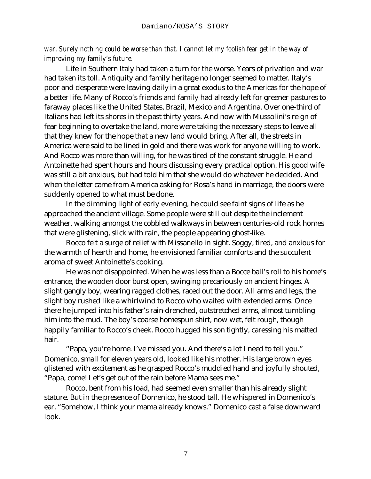*war. Surely nothing could be worse than that. I cannot let my foolish fear get in the way of improving my family's future.*

Life in Southern Italy had taken a turn for the worse. Years of privation and war had taken its toll. Antiquity and family heritage no longer seemed to matter. Italy's poor and desperate were leaving daily in a great exodus to the Americas for the hope of a better life. Many of Rocco's friends and family had already left for greener pastures to faraway places like the United States, Brazil, Mexico and Argentina. Over one-third of Italians had left its shores in the past thirty years. And now with Mussolini's reign of fear beginning to overtake the land, more were taking the necessary steps to leave all that they knew for the hope that a new land would bring. After all, the streets in America were said to be lined in gold and there was work for anyone willing to work. And Rocco was more than willing, for he was tired of the constant struggle. He and Antoinette had spent hours and hours discussing every practical option. His good wife was still a bit anxious, but had told him that she would do whatever he decided. And when the letter came from America asking for Rosa's hand in marriage, the doors were suddenly opened to what must be done.

In the dimming light of early evening, he could see faint signs of life as he approached the ancient village. Some people were still out despite the inclement weather, walking amongst the cobbled walkways in between centuries-old rock homes that were glistening, slick with rain, the people appearing ghost-like.

Rocco felt a surge of relief with Missanello in sight. Soggy, tired, and anxious for the warmth of hearth and home, he envisioned familiar comforts and the succulent aroma of sweet Antoinette's cooking.

He was not disappointed. When he was less than a Bocce ball's roll to his home's entrance, the wooden door burst open, swinging precariously on ancient hinges. A slight gangly boy, wearing ragged clothes, raced out the door. All arms and legs, the slight boy rushed like a whirlwind to Rocco who waited with extended arms. Once there he jumped into his father's rain-drenched, outstretched arms, almost tumbling him into the mud. The boy's coarse homespun shirt, now wet, felt rough, though happily familiar to Rocco's cheek. Rocco hugged his son tightly, caressing his matted hair.

"Papa, you're home. I've missed you. And there's a lot I need to tell you." Domenico, small for eleven years old, looked like his mother. His large brown eyes glistened with excitement as he grasped Rocco's muddied hand and joyfully shouted, "Papa, come! Let's get out of the rain before Mama sees me."

Rocco, bent from his load, had seemed even smaller than his already slight stature. But in the presence of Domenico, he stood tall. He whispered in Domenico's ear, "Somehow, I think your mama already knows." Domenico cast a false downward look.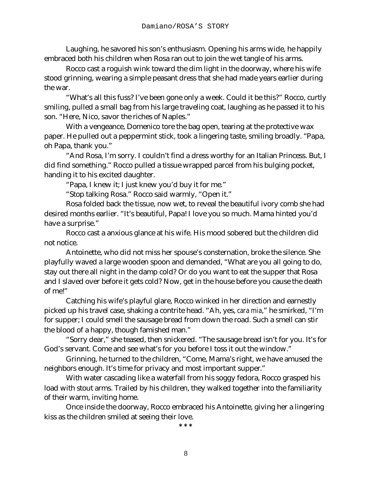Laughing, he savored his son's enthusiasm. Opening his arms wide, he happily embraced both his children when Rosa ran out to join the wet tangle of his arms.

Rocco cast a roguish wink toward the dim light in the doorway, where his wife stood grinning, wearing a simple peasant dress that she had made years earlier during the war.

"What's all this fuss? I've been gone only a week. Could it be this?" Rocco, curtly smiling, pulled a small bag from his large traveling coat, laughing as he passed it to his son. "Here, Nico, savor the riches of Naples."

With a vengeance, Domenico tore the bag open, tearing at the protective wax paper. He pulled out a peppermint stick, took a lingering taste, smiling broadly. "Papa, oh Papa, thank you."

"And Rosa, I'm sorry. I couldn't find a dress worthy for an Italian Princess. But, I did find something." Rocco pulled a tissue wrapped parcel from his bulging pocket, handing it to his excited daughter.

"Papa, I knew it; I just knew you'd buy it for me."

"Stop talking Rosa." Rocco said warmly, "Open it."

Rosa folded back the tissue, now wet, to reveal the beautiful ivory comb she had desired months earlier. "It's beautiful, Papa! I love you so much. Mama hinted you'd have a surprise."

Rocco cast a anxious glance at his wife. His mood sobered but the children did not notice.

Antoinette, who did not miss her spouse's consternation, broke the silence. She playfully waved a large wooden spoon and demanded, "What are you all going to do, stay out there all night in the damp cold? Or do you want to eat the supper that Rosa and I slaved over before it gets cold? Now, get in the house before you cause the death of me!"

Catching his wife's playful glare, Rocco winked in her direction and earnestly picked up his travel case, shaking a contrite head. "Ah, yes, *cara mia*," he smirked, "I'm for supper; I could smell the sausage bread from down the road. Such a smell can stir the blood of a happy, though famished man."

"Sorry dear," she teased, then snickered. "The sausage bread isn't for you. It's for God's servant. Come and see what's for you before I toss it out the window."

Grinning, he turned to the children, "Come, Mama's right, we have amused the neighbors enough. It's time for privacy and most important supper."

With water cascading like a waterfall from his soggy fedora, Rocco grasped his load with stout arms. Trailed by his children, they walked together into the familiarity of their warm, inviting home.

Once inside the doorway, Rocco embraced his Antoinette, giving her a lingering kiss as the children smiled at seeing their love.

**\* \* \***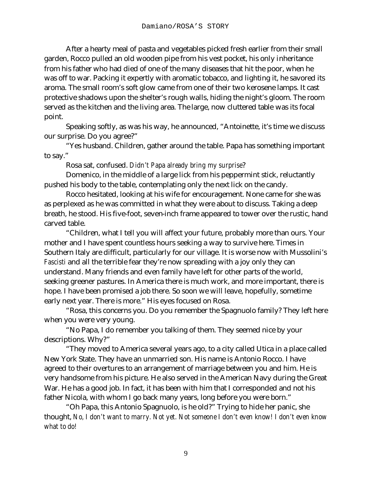After a hearty meal of pasta and vegetables picked fresh earlier from their small garden, Rocco pulled an old wooden pipe from his vest pocket, his only inheritance from his father who had died of one of the many diseases that hit the poor, when he was off to war. Packing it expertly with aromatic tobacco, and lighting it, he savored its aroma. The small room's soft glow came from one of their two kerosene lamps. It cast protective shadows upon the shelter's rough walls, hiding the night's gloom. The room served as the kitchen and the living area. The large, now cluttered table was its focal point.

Speaking softly, as was his way, he announced, "Antoinette, it's time we discuss our surprise. Do you agree?"

"Yes husband. Children, gather around the table. Papa has something important to say."

Rosa sat, confused. *Didn't Papa already bring my surprise*?

Domenico, in the middle of a large lick from his peppermint stick, reluctantly pushed his body to the table, contemplating only the next lick on the candy.

Rocco hesitated, looking at his wife for encouragement. None came for she was as perplexed as he was committed in what they were about to discuss. Taking a deep breath, he stood. His five-foot, seven-inch frame appeared to tower over the rustic, hand carved table.

"Children, what I tell you will affect your future, probably more than ours. Your mother and I have spent countless hours seeking a way to survive here. Times in Southern Italy are difficult, particularly for our village. It is worse now with Mussolini's *Fascisti* and all the terrible fear they're now spreading with a joy only they can understand. Many friends and even family have left for other parts of the world, seeking greener pastures. In America there is much work, and more important, there is hope. I have been promised a job there. So soon we will leave, hopefully, sometime early next year. There is more." His eyes focused on Rosa.

"Rosa, this concerns you. Do you remember the Spagnuolo family? They left here when you were very young.

"No Papa, I do remember you talking of them. They seemed nice by your descriptions. Why?"

"They moved to America several years ago, to a city called Utica in a place called New York State. They have an unmarried son. His name is Antonio Rocco. I have agreed to their overtures to an arrangement of marriage between you and him. He is very handsome from his picture. He also served in the American Navy during the Great War. He has a good job. In fact, it has been with him that I corresponded and not his father Nicola, with whom I go back many years, long before you were born."

"Oh Papa, this Antonio Spagnuolo, is he old?" Trying to hide her panic, she thought, *No, I don't want to marry. Not yet. Not someone I don't even know! I don't even know what to do!*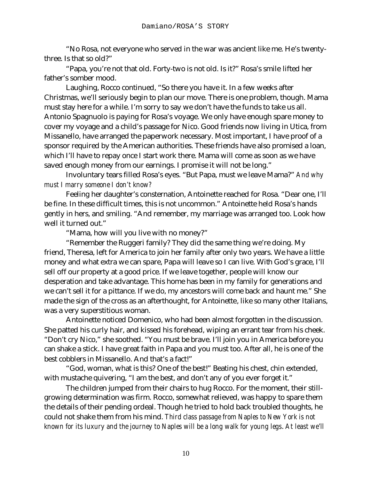"No Rosa, not everyone who served in the war was ancient like me. He's twentythree. Is that so old?"

"Papa, you're not that old. Forty-two is not old. Is it?" Rosa's smile lifted her father's somber mood.

Laughing, Rocco continued, "So there you have it. In a few weeks after Christmas, we'll seriously begin to plan our move. There is one problem, though. Mama must stay here for a while. I'm sorry to say we don't have the funds to take us all. Antonio Spagnuolo is paying for Rosa's voyage. We only have enough spare money to cover my voyage and a child's passage for Nico. Good friends now living in Utica, from Missanello, have arranged the paperwork necessary. Most important, I have proof of a sponsor required by the American authorities. These friends have also promised a loan, which I'll have to repay once I start work there. Mama will come as soon as we have saved enough money from our earnings. I promise it will not be long."

Involuntary tears filled Rosa's eyes. "But Papa, must we leave Mama?" *And why must I marry someone I don't know?*

Feeling her daughter's consternation, Antoinette reached for Rosa. "Dear one, I'll be fine. In these difficult times, this is not uncommon." Antoinette held Rosa's hands gently in hers, and smiling. "And remember, my marriage was arranged too. Look how well it turned out."

"Mama, how will you live with no money?"

"Remember the Ruggeri family? They did the same thing we're doing. My friend, Theresa, left for America to join her family after only two years. We have a little money and what extra we can spare, Papa will leave so I can live. With God's grace, I'll sell off our property at a good price. If we leave together, people will know our desperation and take advantage. This home has been in my family for generations and we can't sell it for a pittance. If we do, my ancestors will come back and haunt me." She made the sign of the cross as an afterthought, for Antoinette, like so many other Italians, was a very superstitious woman.

Antoinette noticed Domenico, who had been almost forgotten in the discussion. She patted his curly hair, and kissed his forehead, wiping an errant tear from his cheek. "Don't cry Nico," she soothed. "You must be brave. I'll join you in America before you can shake a stick. I have great faith in Papa and you must too. After all, he is one of the best cobblers in Missanello. And that's a fact!"

"God, woman, what is this? One of the best!" Beating his chest, chin extended, with mustache quivering, "I am the best, and don't any of you ever forget it."

The children jumped from their chairs to hug Rocco. For the moment, their stillgrowing determination was firm. Rocco, somewhat relieved, was happy to spare them the details of their pending ordeal. Though he tried to hold back troubled thoughts, he could not shake them from his mind. *Third class passage from Naples to New York is not known for its luxury and the journey to Naples will be a long walk for young legs*. *At least we'll*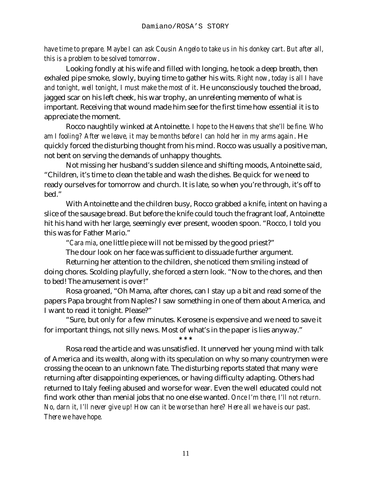*have time to prepare. Maybe I can ask Cousin Angelo to take us in his donkey cart*. *But after all, this is a problem to be solved tomorrow*.

Looking fondly at his wife and filled with longing, he took a deep breath, then exhaled pipe smoke, slowly, buying time to gather his wits. *Right now*, *today is all I have and tonight, well tonight, I must make the most of it*. He unconsciously touched the broad, jagged scar on his left cheek, his war trophy, an unrelenting memento of what is important. Receiving that wound made him see for the first time how essential it is to appreciate the moment.

Rocco naughtily winked at Antoinette. *I hope to the Heavens that she'll be fine. Who am I fooling? After we leave, it may be months before I can hold her in my arms again*. He quickly forced the disturbing thought from his mind. Rocco was usually a positive man, not bent on serving the demands of unhappy thoughts.

Not missing her husband's sudden silence and shifting moods, Antoinette said, "Children, it's time to clean the table and wash the dishes. Be quick for we need to ready ourselves for tomorrow and church. It is late, so when you're through, it's off to bed."

With Antoinette and the children busy, Rocco grabbed a knife, intent on having a slice of the sausage bread. But before the knife could touch the fragrant loaf, Antoinette hit his hand with her large, seemingly ever present, wooden spoon. "Rocco, I told you this was for Father Mario."

"*Cara mia*, one little piece will not be missed by the good priest?"

The dour look on her face was sufficient to dissuade further argument.

Returning her attention to the children, she noticed them smiling instead of doing chores. Scolding playfully, she forced a stern look. "Now to the chores, and then to bed! The amusement is over!"

Rosa groaned, "Oh Mama, after chores, can I stay up a bit and read some of the papers Papa brought from Naples? I saw something in one of them about America, and I want to read it tonight. Please?"

"Sure, but only for a few minutes. Kerosene is expensive and we need to save it for important things, not silly news. Most of what's in the paper is lies anyway."

**\* \* \***

Rosa read the article and was unsatisfied. It unnerved her young mind with talk of America and its wealth, along with its speculation on why so many countrymen were crossing the ocean to an unknown fate. The disturbing reports stated that many were returning after disappointing experiences, or having difficulty adapting. Others had returned to Italy feeling abused and worse for wear. Even the well educated could not find work other than menial jobs that no one else wanted. *Once I'm there, I'll not return. No, darn it, I'll never give up! How can it be worse than here? Here all we have is our past. There we have hope.*